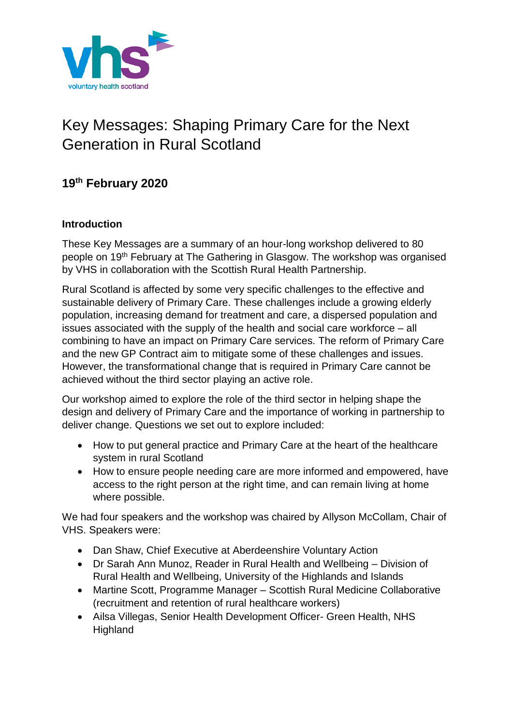

# Key Messages: Shaping Primary Care for the Next Generation in Rural Scotland

# **19th February 2020**

#### **Introduction**

These Key Messages are a summary of an hour-long workshop delivered to 80 people on 19<sup>th</sup> February at The Gathering in Glasgow. The workshop was organised by VHS in collaboration with the Scottish Rural Health Partnership.

Rural Scotland is affected by some very specific challenges to the effective and sustainable delivery of Primary Care. These challenges include a growing elderly population, increasing demand for treatment and care, a dispersed population and issues associated with the supply of the health and social care workforce – all combining to have an impact on Primary Care services. The reform of Primary Care and the new GP Contract aim to mitigate some of these challenges and issues. However, the transformational change that is required in Primary Care cannot be achieved without the third sector playing an active role.

Our workshop aimed to explore the role of the third sector in helping shape the design and delivery of Primary Care and the importance of working in partnership to deliver change. Questions we set out to explore included:

- How to put general practice and Primary Care at the heart of the healthcare system in rural Scotland
- How to ensure people needing care are more informed and empowered, have access to the right person at the right time, and can remain living at home where possible.

We had four speakers and the workshop was chaired by Allyson McCollam, Chair of VHS. Speakers were:

- Dan Shaw, Chief Executive at Aberdeenshire Voluntary Action
- Dr Sarah Ann Munoz, Reader in Rural Health and Wellbeing Division of Rural Health and Wellbeing, University of the Highlands and Islands
- Martine Scott, Programme Manager Scottish Rural Medicine Collaborative (recruitment and retention of rural healthcare workers)
- Ailsa Villegas, Senior Health Development Officer- Green Health, NHS **Highland**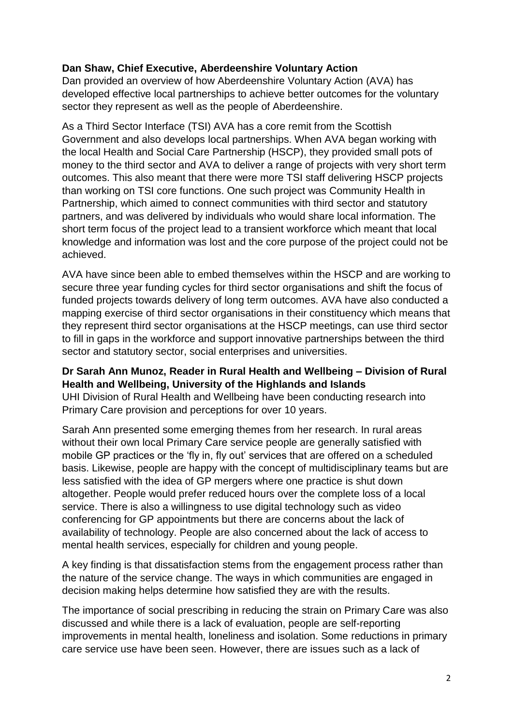#### **Dan Shaw, Chief Executive, Aberdeenshire Voluntary Action**

Dan provided an overview of how Aberdeenshire Voluntary Action (AVA) has developed effective local partnerships to achieve better outcomes for the voluntary sector they represent as well as the people of Aberdeenshire.

As a Third Sector Interface (TSI) AVA has a core remit from the Scottish Government and also develops local partnerships. When AVA began working with the local Health and Social Care Partnership (HSCP), they provided small pots of money to the third sector and AVA to deliver a range of projects with very short term outcomes. This also meant that there were more TSI staff delivering HSCP projects than working on TSI core functions. One such project was Community Health in Partnership, which aimed to connect communities with third sector and statutory partners, and was delivered by individuals who would share local information. The short term focus of the project lead to a transient workforce which meant that local knowledge and information was lost and the core purpose of the project could not be achieved.

AVA have since been able to embed themselves within the HSCP and are working to secure three year funding cycles for third sector organisations and shift the focus of funded projects towards delivery of long term outcomes. AVA have also conducted a mapping exercise of third sector organisations in their constituency which means that they represent third sector organisations at the HSCP meetings, can use third sector to fill in gaps in the workforce and support innovative partnerships between the third sector and statutory sector, social enterprises and universities.

#### **Dr Sarah Ann Munoz, Reader in Rural Health and Wellbeing – Division of Rural Health and Wellbeing, University of the Highlands and Islands**

UHI Division of Rural Health and Wellbeing have been conducting research into Primary Care provision and perceptions for over 10 years.

Sarah Ann presented some emerging themes from her research. In rural areas without their own local Primary Care service people are generally satisfied with mobile GP practices or the 'fly in, fly out' services that are offered on a scheduled basis. Likewise, people are happy with the concept of multidisciplinary teams but are less satisfied with the idea of GP mergers where one practice is shut down altogether. People would prefer reduced hours over the complete loss of a local service. There is also a willingness to use digital technology such as video conferencing for GP appointments but there are concerns about the lack of availability of technology. People are also concerned about the lack of access to mental health services, especially for children and young people.

A key finding is that dissatisfaction stems from the engagement process rather than the nature of the service change. The ways in which communities are engaged in decision making helps determine how satisfied they are with the results.

The importance of social prescribing in reducing the strain on Primary Care was also discussed and while there is a lack of evaluation, people are self-reporting improvements in mental health, loneliness and isolation. Some reductions in primary care service use have been seen. However, there are issues such as a lack of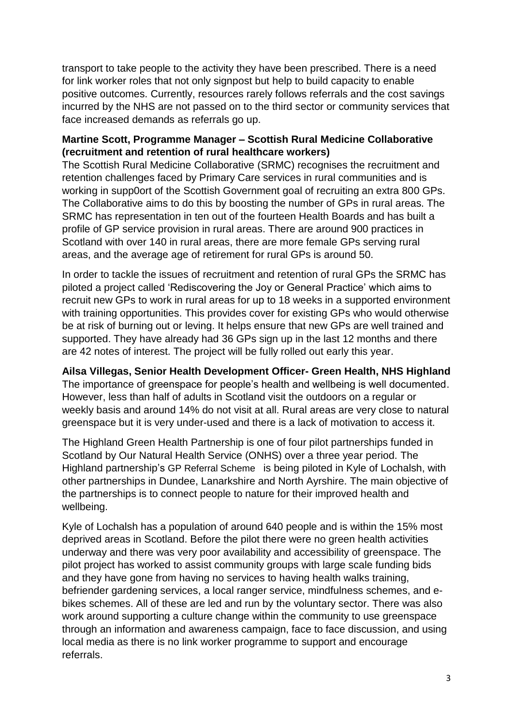transport to take people to the activity they have been prescribed. There is a need for link worker roles that not only signpost but help to build capacity to enable positive outcomes. Currently, resources rarely follows referrals and the cost savings incurred by the NHS are not passed on to the third sector or community services that face increased demands as referrals go up.

#### **Martine Scott, Programme Manager – Scottish Rural Medicine Collaborative (recruitment and retention of rural healthcare workers)**

The Scottish Rural Medicine Collaborative (SRMC) recognises the recruitment and retention challenges faced by Primary Care services in rural communities and is working in supp0ort of the Scottish Government goal of recruiting an extra 800 GPs. The Collaborative aims to do this by boosting the number of GPs in rural areas. The SRMC has representation in ten out of the fourteen Health Boards and has built a profile of GP service provision in rural areas. There are around 900 practices in Scotland with over 140 in rural areas, there are more female GPs serving rural areas, and the average age of retirement for rural GPs is around 50.

In order to tackle the issues of recruitment and retention of rural GPs the SRMC has piloted a project called 'Rediscovering the Joy or General Practice' which aims to recruit new GPs to work in rural areas for up to 18 weeks in a supported environment with training opportunities. This provides cover for existing GPs who would otherwise be at risk of burning out or leving. It helps ensure that new GPs are well trained and supported. They have already had 36 GPs sign up in the last 12 months and there are 42 notes of interest. The project will be fully rolled out early this year.

## **Ailsa Villegas, Senior Health Development Officer- Green Health, NHS Highland**

The importance of greenspace for people's health and wellbeing is well documented. However, less than half of adults in Scotland visit the outdoors on a regular or weekly basis and around 14% do not visit at all. Rural areas are very close to natural greenspace but it is very under-used and there is a lack of motivation to access it.

The Highland Green Health Partnership is one of four pilot partnerships funded in Scotland by Our Natural Health Service (ONHS) over a three year period. The Highland partnership's GP Referral Scheme is being piloted in Kyle of Lochalsh, with other partnerships in Dundee, Lanarkshire and North Ayrshire. The main objective of the partnerships is to connect people to nature for their improved health and wellbeing.

Kyle of Lochalsh has a population of around 640 people and is within the 15% most deprived areas in Scotland. Before the pilot there were no green health activities underway and there was very poor availability and accessibility of greenspace. The pilot project has worked to assist community groups with large scale funding bids and they have gone from having no services to having health walks training, befriender gardening services, a local ranger service, mindfulness schemes, and ebikes schemes. All of these are led and run by the voluntary sector. There was also work around supporting a culture change within the community to use greenspace through an information and awareness campaign, face to face discussion, and using local media as there is no link worker programme to support and encourage referrals.